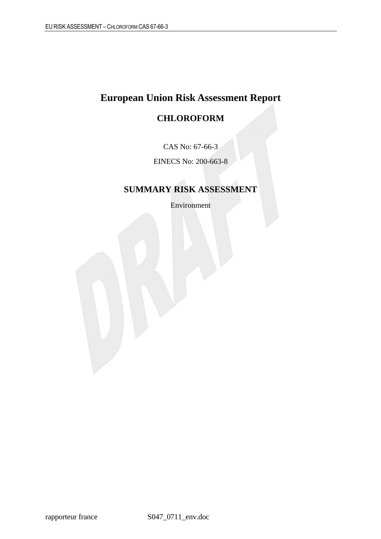# <span id="page-0-1"></span><span id="page-0-0"></span>**European Union Risk Assessment Report**

# **CHLOROFORM**

CAS No: 67-66-3

EINECS No: 200-663-8

# **SUMMARY RISK ASSESSMENT**

<span id="page-0-2"></span>Environment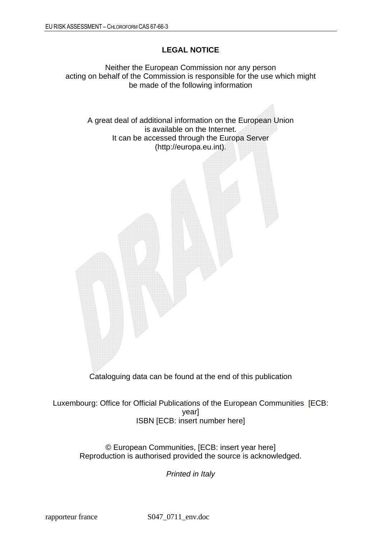# **LEGAL NOTICE**

Neither the European Commission nor any person acting on behalf of the Commission is responsible for the use which might be made of the following information

A great deal of additional information on the European Union



Luxembourg: Office for Official Publications of the European Communities, [ECB: year] ISBN [ECB: insert number here]

© European Communities, [ECB: insert year here] Reproduction is authorised provided the source is acknowledged.

*Printed in Italy*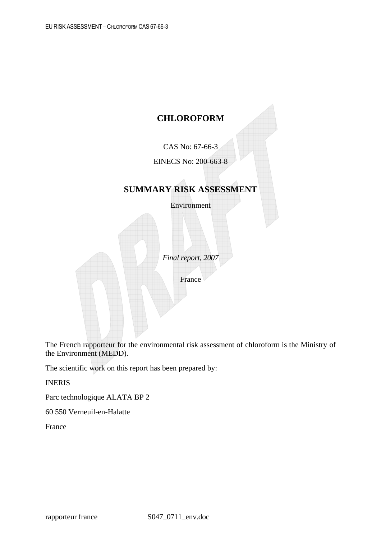<span id="page-2-1"></span><span id="page-2-0"></span>

The French rapporteur for the environmental risk assessment of chloroform is the Ministry of the Environment (MEDD).

The scientific work on this report has been prepared by:

INERIS

Parc technologique ALATA BP 2

60 550 Verneuil-en-Halatte

France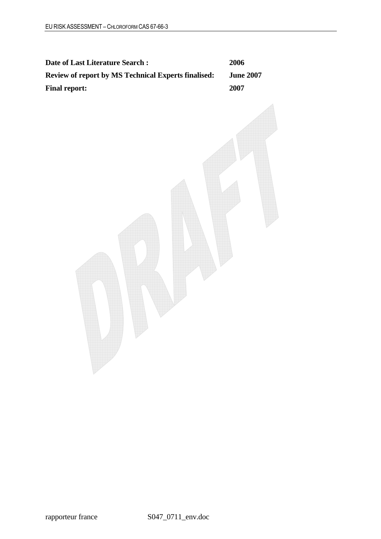| Date of Last Literature Search:                            | 2006             |
|------------------------------------------------------------|------------------|
| <b>Review of report by MS Technical Experts finalised:</b> | <b>June 2007</b> |
| <b>Final report:</b>                                       | 2007             |

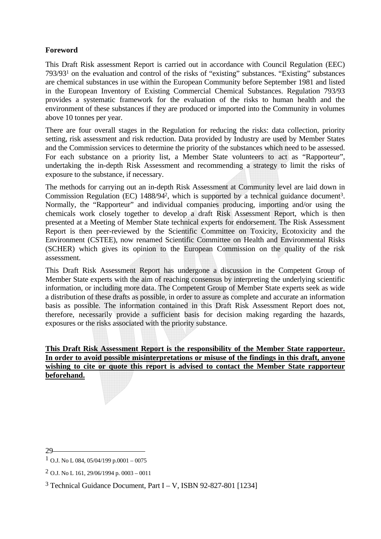# **Foreword**

This Draft Risk assessment Report is carried out in accordance with Council Regulation (EEC) 793/931 on the evaluation and control of the risks of "existing" substances. "Existing" substances are chemical substances in use within the European Community before September 1981 and listed in the European Inventory of Existing Commercial Chemical Substances. Regulation 793/93 provides a systematic framework for the evaluation of the risks to human health and the environment of these substances if they are produced or imported into the Community in volumes above 10 tonnes per year.

There are four overall stages in the Regulation for reducing the risks: data collection, priority setting, risk assessment and risk reduction. Data provided by Industry are used by Member States and the Commission services to determine the priority of the substances which need to be assessed. For each substance on a priority list, a Member State volunteers to act as "Rapporteur", undertaking the in-depth Risk Assessment and recommending a strategy to limit the risks of exposure to the substance, if necessary.

The methods for carrying out an in-depth Risk Assessment at Community level are laid down in Commission Regulation (EC) 1488/94<sup>2</sup>, which is supported by a technical guidance document<sup>3</sup>. Normally, the "Rapporteur" and individual companies producing, importing and/or using the chemicals work closely together to develop a draft Risk Assessment Report, which is then presented at a Meeting of Member State technical experts for endorsement. The Risk Assessment Report is then peer-reviewed by the Scientific Committee on Toxicity, Ecotoxicity and the Environment (CSTEE), now renamed Scientific Committee on Health and Environmental Risks (SCHER) which gives its opinion to the European Commission on the quality of the risk assessment.

This Draft Risk Assessment Report has undergone a discussion in the Competent Group of Member State experts with the aim of reaching consensus by interpreting the underlying scientific information, or including more data. The Competent Group of Member State experts seek as wide a distribution of these drafts as possible, in order to assure as complete and accurate an information basis as possible. The information contained in this Draft Risk Assessment Report does not, therefore, necessarily provide a sufficient basis for decision making regarding the hazards, exposures or the risks associated with the priority substance.

# **This Draft Risk Assessment Report is the responsibility of the Member State rapporteur. In order to avoid possible misinterpretations or misuse of the findings in this draft, anyone wishing to cite or quote this report is advised to contact the Member State rapporteur beforehand.**

 $29$ 

 $1$  O.J. No L 084, 05/04/199 p.0001 – 0075

 $2$  O.J. No L 161, 29/06/1994 p. 0003 – 0011

<sup>3</sup> Technical Guidance Document, Part I – V, ISBN 92-827-801 [1234]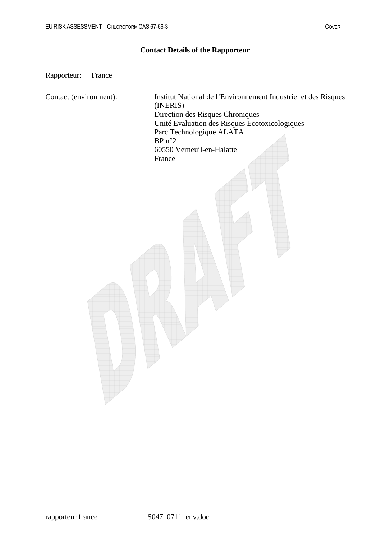# **Contact Details of the Rapporteur**

Rapporteur: France

Contact (environment): Institut National de l'Environnement Industriel et des Risques (INERIS) Direction des Risques Chroniques Unité Evaluation des Risques Ecotoxicologiques Parc Technologique ALATA BP n°2 60550 Verneuil-en-Halatte France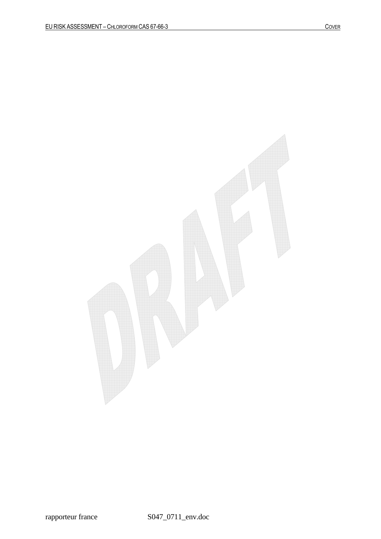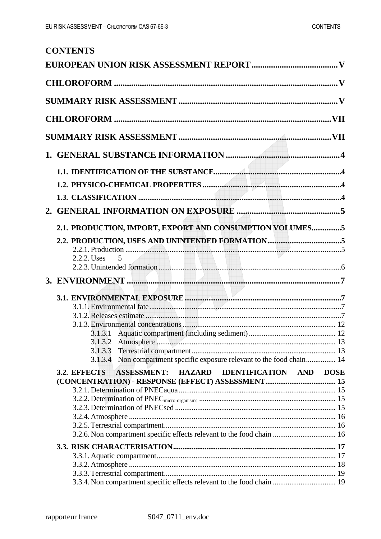| <b>CONTENTS</b>                                                         |  |
|-------------------------------------------------------------------------|--|
|                                                                         |  |
|                                                                         |  |
|                                                                         |  |
|                                                                         |  |
|                                                                         |  |
|                                                                         |  |
|                                                                         |  |
|                                                                         |  |
|                                                                         |  |
|                                                                         |  |
|                                                                         |  |
| 2.1. PRODUCTION, IMPORT, EXPORT AND CONSUMPTION VOLUMES5                |  |
|                                                                         |  |
| 2.2.2. Uses<br>$5\overline{)}$                                          |  |
|                                                                         |  |
|                                                                         |  |
|                                                                         |  |
|                                                                         |  |
|                                                                         |  |
|                                                                         |  |
|                                                                         |  |
|                                                                         |  |
| 3.1.3.4 Non compartment specific exposure relevant to the food chain 14 |  |
|                                                                         |  |
| 3.2. EFFECTS<br><b>ASSESSMENT:</b><br>HAZARD IDENTIFICATION AND DOSE    |  |
|                                                                         |  |
|                                                                         |  |
|                                                                         |  |
|                                                                         |  |
|                                                                         |  |
|                                                                         |  |
|                                                                         |  |
|                                                                         |  |
|                                                                         |  |
| 3.3.4. Non compartment specific effects relevant to the food chain  19  |  |
|                                                                         |  |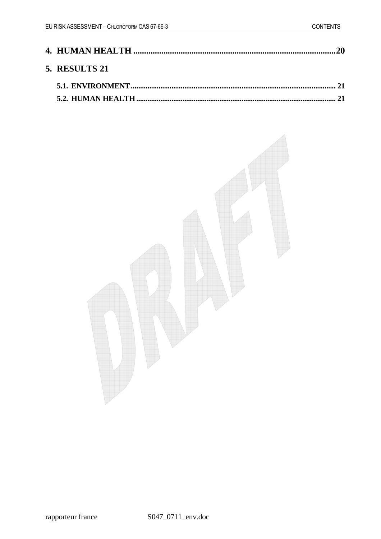| 5. RESULTS 21 |  |
|---------------|--|
|               |  |
|               |  |

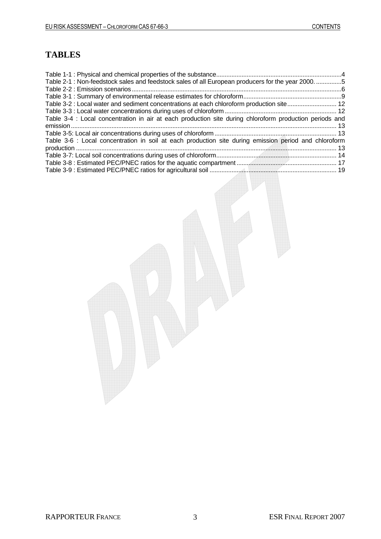# **TABLES**

| Table 2-1 : Non-feedstock sales and feedstock sales of all European producers for the year 2000. 5      |  |
|---------------------------------------------------------------------------------------------------------|--|
|                                                                                                         |  |
|                                                                                                         |  |
| Table 3-2 : Local water and sediment concentrations at each chloroform production site 12               |  |
|                                                                                                         |  |
| Table 3-4 : Local concentration in air at each production site during chloroform production periods and |  |
|                                                                                                         |  |
|                                                                                                         |  |
| Table 3-6 : Local concentration in soil at each production site during emission period and chloroform   |  |
|                                                                                                         |  |
|                                                                                                         |  |
|                                                                                                         |  |
|                                                                                                         |  |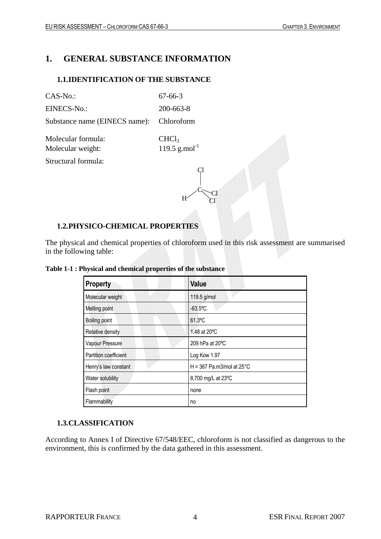# <span id="page-10-1"></span><span id="page-10-0"></span>**1. GENERAL SUBSTANCE INFORMATION**

# **1.1.IDENTIFICATION OF THE SUBSTANCE**

CAS-No.: 67-66-3

EINECS-No.: 200-663-8

Substance name (EINECS name): Chloroform

Molecular formula: CHCl<sub>3</sub> Molecular weight: 119.5 g.mol<sup>-1</sup>

Structural formula:



# **1.2.PHYSICO-CHEMICAL PROPERTIES**

<span id="page-10-2"></span>The physical and chemical properties of chloroform used in this risk assessment are summarised in the following table:

<span id="page-10-4"></span>

|  | Table 1-1 : Physical and chemical properties of the substance |
|--|---------------------------------------------------------------|
|  |                                                               |

| <b>Property</b>       | Value                               |
|-----------------------|-------------------------------------|
| Molecular weight      | 119.5 g/mol                         |
| Melting point         | $-63.5$ °C                          |
| Boiling point         | 61.3°C                              |
| Relative density      | 1.48 at 20°C                        |
| Vapour Pressure       | 209 hPa at 20°C                     |
| Partition coefficient | Log Kow 1.97                        |
| Henry's law constant  | H = 367 Pa.m3/mol at $25^{\circ}$ C |
| Water solubility      | 8,700 mg/L at 23°C                  |
| Flash point           | none                                |
| Flammability          | no                                  |

# **1.3.CLASSIFICATION**

<span id="page-10-3"></span>According to Annex I of Directive 67/548/EEC, chloroform is not classified as dangerous to the environment, this is confirmed by the data gathered in this assessment.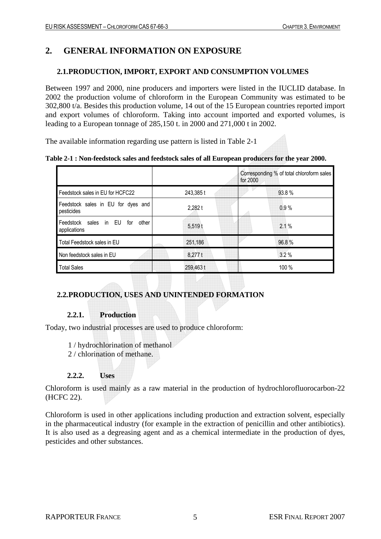# <span id="page-11-1"></span><span id="page-11-0"></span>**2. GENERAL INFORMATION ON EXPOSURE**

# **2.1.PRODUCTION, IMPORT, EXPORT AND CONSUMPTION VOLUMES**

Between 1997 and 2000, nine producers and importers were listed in the IUCLID database. In 2002 the production volume of chloroform in the European Community was estimated to be 302,800 t/a. Besides this production volume, 14 out of the 15 European countries reported import and export volumes of chloroform. Taking into account imported and exported volumes, is leading to a European tonnage of 285,150 t. in 2000 and 271,000 t in 2002.

The available information regarding use pattern is listed in [Table 2-1](#page-11-5) 

#### <span id="page-11-5"></span>**Table 2-1 : Non-feedstock sales and feedstock sales of all European producers for the year 2000.**

|                                                          |           | Corresponding % of total chloroform sales<br>for 2000 |
|----------------------------------------------------------|-----------|-------------------------------------------------------|
| Feedstock sales in EU for HCFC22                         | 243,385 t | 93.8%                                                 |
| Feedstock sales in EU for dyes and<br>pesticides         | 2,282t    | 0.9%                                                  |
| Feedstock sales<br>in EU<br>other<br>for<br>applications | 5,519t    | 2.1%                                                  |
| Total Feedstock sales in EU                              | 251,186   | 96.8%                                                 |
| Non feedstock sales in EU                                | 8,277t    | 3.2%                                                  |
| <b>Total Sales</b>                                       | 259,463 t | 100 %                                                 |

# <span id="page-11-2"></span>**2.2.PRODUCTION, USES AND UNINTENDED FORMATION**

# **2.2.1. Production**

<span id="page-11-3"></span>Today, two industrial processes are used to produce chloroform:

- 1 / hydrochlorination of methanol
- 2 / chlorination of methane.

# **2.2.2. Uses**

<span id="page-11-4"></span>Chloroform is used mainly as a raw material in the production of hydrochlorofluorocarbon-22 (HCFC 22).

Chloroform is used in other applications including production and extraction solvent, especially in the pharmaceutical industry (for example in the extraction of penicillin and other antibiotics). It is also used as a degreasing agent and as a chemical intermediate in the production of dyes, pesticides and other substances.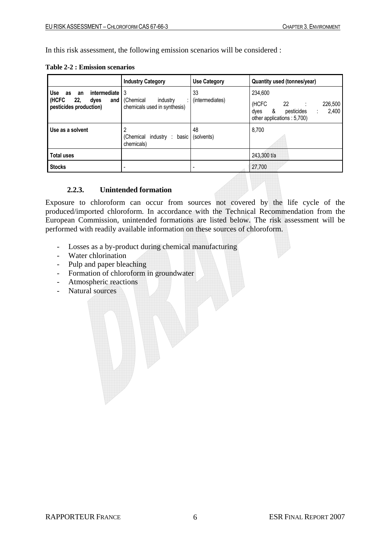<span id="page-12-1"></span>In this risk assessment, the following emission scenarios will be considered :

| <b>Table 2-2 : Emission scenarios</b> |  |  |
|---------------------------------------|--|--|
|---------------------------------------|--|--|

|                                                                                            | <b>Industry Category</b>                                | <b>Use Category</b>   | Quantity used (tonnes/year)                                                                         |
|--------------------------------------------------------------------------------------------|---------------------------------------------------------|-----------------------|-----------------------------------------------------------------------------------------------------|
| intermediate 3<br>Use<br>as<br>an<br>(HCFC<br>22.<br>dves<br>and<br>pesticides production) | l (Chemical<br>industry<br>chemicals used in synthesis) | 33<br>(intermediates) | 234,600<br>(HCFC<br>226,500<br>22<br>2,400<br>pesticides<br>&<br>dyes<br>other applications: 5,700) |
| Use as a solvent                                                                           | (Chemical<br>industry:<br>basic<br>chemicals)           | 48<br>(solvents)      | 8,700                                                                                               |
| <b>Total uses</b>                                                                          |                                                         |                       | 243,300 t/a                                                                                         |
| <b>Stocks</b>                                                                              | $\overline{\phantom{a}}$                                |                       | 27,700                                                                                              |

### **2.2.3. Unintended formation**

<span id="page-12-0"></span>Exposure to chloroform can occur from sources not covered by the life cycle of the produced/imported chloroform. In accordance with the Technical Recommendation from the European Commission, unintended formations are listed below. The risk assessment will be performed with readily available information on these sources of chloroform.

- Losses as a by-product during chemical manufacturing
- Water chlorination
- Pulp and paper bleaching
- Formation of chloroform in groundwater
- Atmospheric reactions
- Natural sources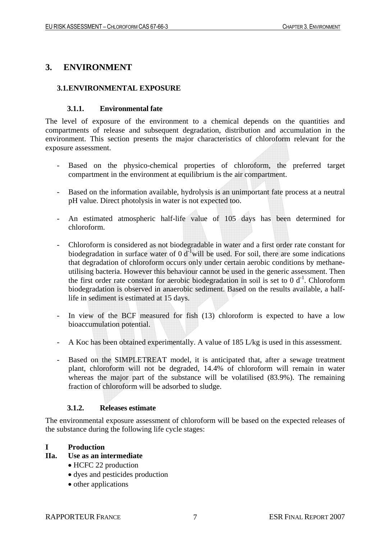# <span id="page-13-1"></span><span id="page-13-0"></span>**3. ENVIRONMENT**

## **3.1.ENVIRONMENTAL EXPOSURE**

## **3.1.1. Environmental fate**

<span id="page-13-2"></span>The level of exposure of the environment to a chemical depends on the quantities and compartments of release and subsequent degradation, distribution and accumulation in the environment. This section presents the major characteristics of chloroform relevant for the exposure assessment.

- Based on the physico-chemical properties of chloroform, the preferred target compartment in the environment at equilibrium is the air compartment.
- Based on the information available, hydrolysis is an unimportant fate process at a neutral pH value. Direct photolysis in water is not expected too.
- An estimated atmospheric half-life value of 105 days has been determined for chloroform.
- Chloroform is considered as not biodegradable in water and a first order rate constant for biodegradation in surface water of  $0 d^{-1}$  will be used. For soil, there are some indications that degradation of chloroform occurs only under certain aerobic conditions by methaneutilising bacteria. However this behaviour cannot be used in the generic assessment. Then the first order rate constant for aerobic biodegradation in soil is set to 0  $d^{-1}$ . Chloroform biodegradation is observed in anaerobic sediment. Based on the results available, a halflife in sediment is estimated at 15 days.
- In view of the BCF measured for fish (13) chloroform is expected to have a low bioaccumulation potential.
- A Koc has been obtained experimentally. A value of 185 L/kg is used in this assessment.
- Based on the SIMPLETREAT model, it is anticipated that, after a sewage treatment plant, chloroform will not be degraded, 14.4% of chloroform will remain in water whereas the major part of the substance will be volatilised (83.9%). The remaining fraction of chloroform will be adsorbed to sludge.

# **3.1.2. Releases estimate**

<span id="page-13-3"></span>The environmental exposure assessment of chloroform will be based on the expected releases of the substance during the following life cycle stages:

# **I Production**

# **IIa. Use as an intermediate**

- HCFC 22 production
- dyes and pesticides production
- other applications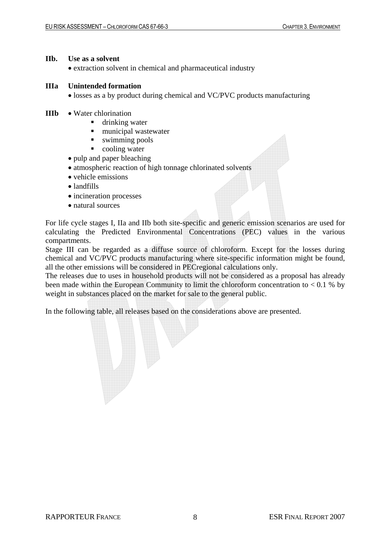#### **IIb. Use as a solvent**

• extraction solvent in chemical and pharmaceutical industry

### **IIIa Unintended formation**

- losses as a by product during chemical and VC/PVC products manufacturing
- **IIIb**  Water chlorination
	- **drinking water**
	- municipal wastewater
	- swimming pools
	- cooling water
	- pulp and paper bleaching
	- atmospheric reaction of high tonnage chlorinated solvents
	- vehicle emissions
	- landfills
	- incineration processes
	- natural sources

For life cycle stages I, IIa and IIb both site-specific and generic emission scenarios are used for calculating the Predicted Environmental Concentrations (PEC) values in the various compartments.

Stage III can be regarded as a diffuse source of chloroform. Except for the losses during chemical and VC/PVC products manufacturing where site-specific information might be found, all the other emissions will be considered in PECregional calculations only.

The releases due to uses in household products will not be considered as a proposal has already been made within the European Community to limit the chloroform concentration to  $< 0.1$  % by weight in substances placed on the market for sale to the general public.

In the following table, all releases based on the considerations above are presented.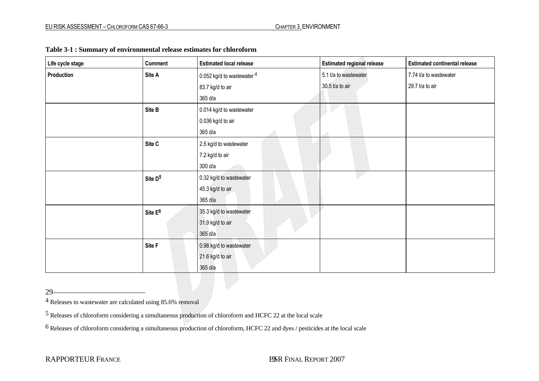| Life cycle stage | Comment             | <b>Estimated local release</b> | <b>Estimated regional release</b> | <b>Estimated continental release</b> |
|------------------|---------------------|--------------------------------|-----------------------------------|--------------------------------------|
| Production       | Site A              | 0.052 kg/d to wastewater 4     | 5.1 t/a to wastewater             | 7.74 t/a to wastewater               |
|                  |                     | 83.7 kg/d to air               | 30.5 t/a to air                   | 29.7 t/a to air                      |
|                  |                     | 365 d/a                        |                                   |                                      |
|                  | Site B              | 0.014 kg/d to wastewater       |                                   |                                      |
|                  |                     | 0.036 kg/d to air              |                                   |                                      |
|                  |                     | $365$ d/a                      |                                   |                                      |
|                  | Site C              | 2.5 kg/d to wastewater         |                                   |                                      |
|                  |                     | 7.2 kg/d to air                |                                   |                                      |
|                  |                     | 300 d/a                        |                                   |                                      |
|                  | Site D <sup>5</sup> | 0.32 kg/d to wastewater        |                                   |                                      |
|                  |                     | 45.3 kg/d to air               |                                   |                                      |
|                  |                     | 365 d/a                        |                                   |                                      |
|                  | Site E <sup>6</sup> | 35.3 kg/d to wastewater        |                                   |                                      |
|                  |                     | 31.9 kg/d to air               |                                   |                                      |
|                  |                     | 365 d/a                        |                                   |                                      |
|                  | Site F              | 0.98 kg/d to wastewater        |                                   |                                      |
|                  |                     | 21.6 kg/d to air               |                                   |                                      |
|                  |                     | 365 d/a                        |                                   |                                      |

|  |  |  |  | Table 3-1 : Summary of environmental release estimates for chloroform |  |  |  |
|--|--|--|--|-----------------------------------------------------------------------|--|--|--|
|--|--|--|--|-----------------------------------------------------------------------|--|--|--|

4 Releases to wastewater are calculated using 85.6% removal

5 Releases of chloroform considering a simultaneous production of chloroform and HCFC 22 at the local scale

6 Releases of chloroform considering a simultaneous production of chloroform, HCFC 22 and dyes / pesticides at the local scale

<span id="page-15-0"></span>29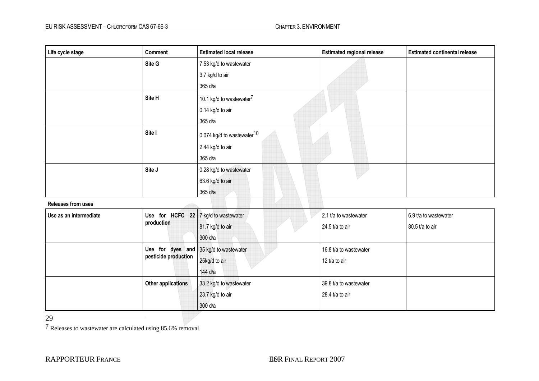| Life cycle stage          | Comment | <b>Estimated local release</b>         | <b>Estimated regional release</b> | <b>Estimated continental release</b> |
|---------------------------|---------|----------------------------------------|-----------------------------------|--------------------------------------|
|                           | Site G  | 7.53 kg/d to wastewater                |                                   |                                      |
|                           |         | 3.7 kg/d to air                        |                                   |                                      |
|                           |         | 365 d/a                                |                                   |                                      |
|                           | Site H  | 10.1 kg/d to wastewater <sup>7</sup>   |                                   |                                      |
|                           |         | 0.14 kg/d to air                       |                                   |                                      |
|                           |         | 365 d/a                                |                                   |                                      |
|                           | Site I  | 0.074 kg/d to wastewater <sup>10</sup> |                                   |                                      |
|                           |         | 2.44 kg/d to air                       |                                   |                                      |
|                           |         | 365 d/a                                |                                   |                                      |
|                           | Site J  | 0.28 kg/d to wastewater                |                                   |                                      |
|                           |         | 63.6 kg/d to air                       |                                   |                                      |
|                           |         | 365 d/a                                |                                   |                                      |
| <b>Releases from uses</b> |         |                                        |                                   |                                      |

#### **Releases from uses**

| Use as an intermediate | Use for HCFC 22 $\sqrt{7}$ kg/d to wastewater<br>production      | 81.7 kg/d to air<br>$300$ d/a                          | 2.1 t/a to wastewater<br>24.5 t/a to air  | 6.9 t/a to wastewater<br>80.5 t/a to air |
|------------------------|------------------------------------------------------------------|--------------------------------------------------------|-------------------------------------------|------------------------------------------|
|                        | Use for dyes and $35$ kg/d to wastewater<br>pesticide production | 25kg/d to air<br>144 d/a                               | 16.8 t/a to wastewater<br>12 t/a to air   |                                          |
|                        | Other applications                                               | 33.2 kg/d to wastewater<br>23.7 kg/d to air<br>300 d/a | 39.8 t/a to wastewater<br>28.4 t/a to air |                                          |

29

<sup>7</sup> Releases to wastewater are calculated using 85.6% removal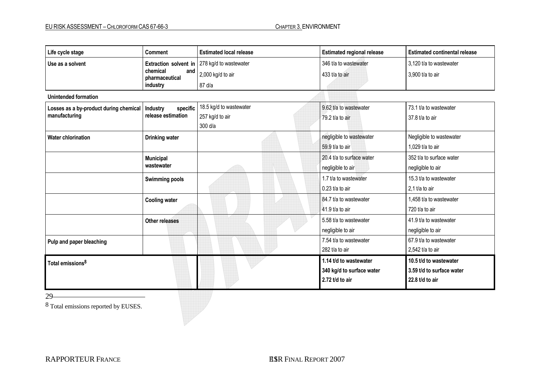| Life cycle stage                                | <b>Comment</b>                    | <b>Estimated local release</b> | <b>Estimated regional release</b> | <b>Estimated continental release</b> |
|-------------------------------------------------|-----------------------------------|--------------------------------|-----------------------------------|--------------------------------------|
| Use as a solvent                                | Extraction solvent in             | 278 kg/d to wastewater         | 346 t/a to wastewater             | 3,120 t/a to wastewater              |
|                                                 | chemical<br>and<br>pharmaceutical | 2,000 kg/d to air              | 433 t/a to air                    | 3,900 t/a to air                     |
|                                                 | industry                          | 87 d/a                         |                                   |                                      |
| <b>Unintended formation</b>                     |                                   |                                |                                   |                                      |
| Losses as a by-product during chemical          | specific<br>Industry              | 18.5 kg/d to wastewater        | 9.62 t/a to wastewater            | 73.1 t/a to wastewater               |
| manufacturing                                   | release estimation                | 257 kg/d to air<br>300 d/a     | 79.2 t/a to air                   | $37.8$ t/a to air                    |
| <b>Water chlorination</b>                       | Drinking water                    |                                | negligible to wastewater          | Negligible to wastewater             |
|                                                 |                                   |                                | 59.9 t/a to air                   | 1,029 t/a to air                     |
|                                                 | <b>Municipal</b>                  |                                | 20.4 t/a to surface water         | 352 t/a to surface water             |
|                                                 | wastewater                        |                                | negligible to air                 | negligible to air                    |
|                                                 | <b>Swimming pools</b>             |                                | 1.7 t/a to wastewater             | 15.3 t/a to wastewater               |
|                                                 |                                   |                                | $0.23$ t/a to air                 | 2.1 $t/a$ to air                     |
|                                                 | <b>Cooling water</b>              |                                | 84.7 t/a to wastewater            | 1,458 t/a to wastewater              |
|                                                 |                                   |                                | 41.9 t/a to air                   | 720 t/a to air                       |
|                                                 | <b>Other releases</b>             |                                | 5.58 t/a to wastewater            | 41.9 t/a to wastewater               |
|                                                 |                                   |                                | negligible to air                 | negligible to air                    |
| Pulp and paper bleaching                        |                                   |                                | 7.54 t/a to wastewater            | 67.9 t/a to wastewater               |
|                                                 |                                   |                                | 282 t/a to air                    | 2,542 t/a to air                     |
| Total emissions <sup>8</sup>                    |                                   |                                | 1.14 t/d to wastewater            | 10.5 t/d to wastewater               |
|                                                 |                                   |                                | 340 kg/d to surface water         | 3.59 t/d to surface water            |
|                                                 |                                   |                                | 2.72 $t/d$ to air                 | 22.8 t/d to air                      |
| 29                                              |                                   |                                |                                   |                                      |
| <sup>8</sup> Total emissions reported by EUSES. |                                   |                                |                                   |                                      |
|                                                 |                                   |                                |                                   |                                      |
|                                                 |                                   |                                |                                   |                                      |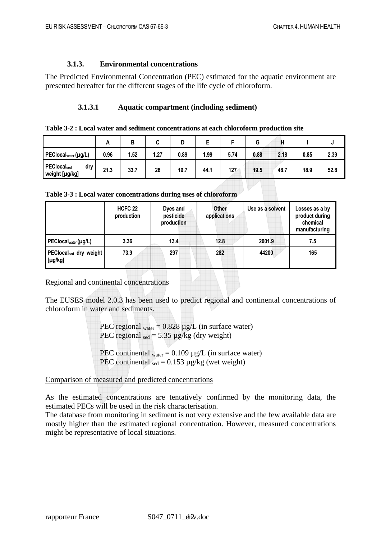## **3.1.3. Environmental concentrations**

<span id="page-18-1"></span><span id="page-18-0"></span>The Predicted Environmental Concentration (PEC) estimated for the aquatic environment are presented hereafter for the different stages of the life cycle of chloroform.

# **3.1.3.1 Aquatic compartment (including sediment)**

<span id="page-18-2"></span>**Table 3-2 : Local water and sediment concentrations at each chloroform production site** 

|                                             |      | в    | ັ    |      |       |      |      |      |      |      |
|---------------------------------------------|------|------|------|------|-------|------|------|------|------|------|
| PEClocalwater (µg/L)                        | 0.96 | 1.52 | 1.27 | 0.89 | 1.99  | 5.74 | 0.88 | 2.18 | 0.85 | 2.39 |
| <b>PEClocalsed</b><br>dry<br>weight [µg/kg] | 21.3 | 33.7 | 28   | 19.7 | 44. . | 127  | 19.5 | 48.7 | 18.9 | 52.8 |

<span id="page-18-3"></span>

| Table 3-3 : Local water concentrations during uses of chloroform |  |
|------------------------------------------------------------------|--|
|                                                                  |  |
|                                                                  |  |

|                                        | HCFC <sub>22</sub><br>production | Dyes and<br>pesticide<br>production | <b>Other</b><br>applications | Use as a solvent | Losses as a by<br>product during<br>chemical<br>manufacturing |
|----------------------------------------|----------------------------------|-------------------------------------|------------------------------|------------------|---------------------------------------------------------------|
| PEClocal <sub>water</sub> (µg/L)       | 3.36                             | 13.4                                | 12.8                         | 2001.9           | 7.5                                                           |
| PEClocalsed dry weight<br>$[\mu g/kg]$ | 73.9                             | 297                                 | 282                          | 44200            | 165                                                           |

Regional and continental concentrations

The EUSES model 2.0.3 has been used to predict regional and continental concentrations of chloroform in water and sediments.

> PEC regional  $_{\text{water}} = 0.828 \mu g/L$  (in surface water) PEC regional  $_{\text{sed}} = 5.35 \mu g/kg$  (dry weight)

PEC continental  $_{\text{water}} = 0.109 \,\mu g/L$  (in surface water) PEC continental  $_{\text{sed}} = 0.153 \text{ µg/kg}$  (wet weight)

Comparison of measured and predicted concentrations

As the estimated concentrations are tentatively confirmed by the monitoring data, the estimated PECs will be used in the risk characterisation.

The database from monitoring in sediment is not very extensive and the few available data are mostly higher than the estimated regional concentration. However, measured concentrations might be representative of local situations.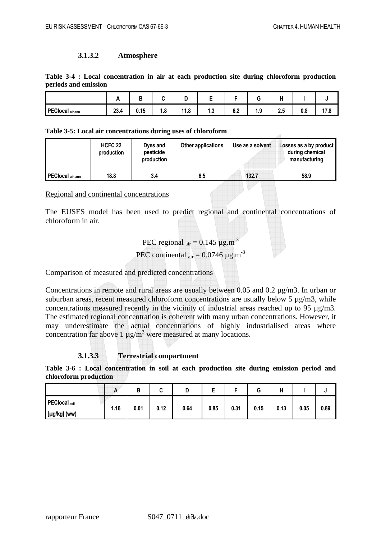$\mathcal{A}$ 

## **3.1.3.2 Atmosphere**

#### <span id="page-19-2"></span><span id="page-19-0"></span>**Table 3-4 : Local concentration in air at each production site during chloroform production periods and emission**

|                  | . .         |              |     |      |     |            |                   | . .        |     |              |
|------------------|-------------|--------------|-----|------|-----|------------|-------------------|------------|-----|--------------|
| PEClocal air,ann | nn.<br>ZJ.4 | 45<br>v. I v | 1.0 | 11.8 | ט ו | c o<br>0.4 | - 0<br>. .<br>1,0 | . .<br>L.J | 0.8 | 17 O<br>11.0 |

#### <span id="page-19-3"></span>**Table 3-5: Local air concentrations during uses of chloroform**

|                   | HCFC <sub>22</sub><br>production | Dyes and<br>pesticide<br>production | Other applications | Use as a solvent | Losses as a by product<br>during chemical<br>manufacturing |
|-------------------|----------------------------------|-------------------------------------|--------------------|------------------|------------------------------------------------------------|
| PEClocal air, ann | 18.8                             | 3.4                                 | 6.5                | 132.7            | 58.9                                                       |

#### Regional and continental concentrations

The EUSES model has been used to predict regional and continental concentrations of chloroform in air.

# PEC regional  $_{air} = 0.145 \mu g.m^{-3}$

## PEC continental  $_{air} = 0.0746 \mu g.m^{-3}$

## Comparison of measured and predicted concentrations

Concentrations in remote and rural areas are usually between 0.05 and 0.2 µg/m3. In urban or suburban areas, recent measured chloroform concentrations are usually below  $5 \mu g/m3$ , while concentrations measured recently in the vicinity of industrial areas reached up to 95 µg/m3. The estimated regional concentration is coherent with many urban concentrations. However, it may underestimate the actual concentrations of highly industrialised areas where concentration far above  $1 \mu g/m^3$  were measured at many locations.

## **3.1.3.3 Terrestrial compartment**

<span id="page-19-4"></span><span id="page-19-1"></span>**Table 3-6 : Local concentration in soil at each production site during emission period and chloroform production** 

|               | -    | п<br>ш | ⌒<br>ັ |      | -    |      |      |      |      | u    |
|---------------|------|--------|--------|------|------|------|------|------|------|------|
| PEClocal soil | 1.16 | 0.01   | 0.12   | 0.64 | 0.85 | 0.31 | 0.15 | 0.13 | 0.05 | 0.89 |
| [yg/kg](ww)   |      |        |        |      |      |      |      |      |      |      |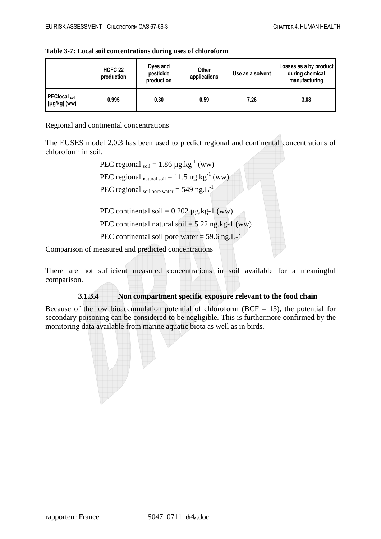|                               | HCFC <sub>22</sub><br>production | Dyes and<br>pesticide<br>production | <b>Other</b><br>applications | Use as a solvent | Losses as a by product<br>during chemical<br>manufacturing |
|-------------------------------|----------------------------------|-------------------------------------|------------------------------|------------------|------------------------------------------------------------|
| PEClocal soil<br>[µg/kg] (ww) | 0.995                            | 0.30                                | 0.59                         | 7.26             | 3.08                                                       |

**Table 3-7: Local soil concentrations during uses of chloroform** 

Regional and continental concentrations

The EUSES model 2.0.3 has been used to predict regional and continental concentrations of chloroform in soil.

> PEC regional  $_{\text{soil}} = 1.86 \mu g \cdot kg^{-1}$  (ww) PEC regional  $_{\text{natural soil}} = 11.5 \text{ ng} \cdot \text{kg}^{-1}$  (ww) PEC regional soil pore water =  $549$  ng. $L^{-1}$

PEC continental soil =  $0.202 \mu$ g.kg-1 (ww)

PEC continental natural soil  $= 5.22$  ng.kg-1 (ww)

```
PEC continental soil pore water = 59.6 ng.L-1
```
Comparison of measured and predicted concentrations

<span id="page-20-0"></span>There are not sufficient measured concentrations in soil available for a meaningful comparison.

# **3.1.3.4 Non compartment specific exposure relevant to the food chain**

Because of the low bioaccumulation potential of chloroform ( $BCF = 13$ ), the potential for secondary poisoning can be considered to be negligible. This is furthermore confirmed by the monitoring data available from marine aquatic biota as well as in birds.

<span id="page-20-1"></span>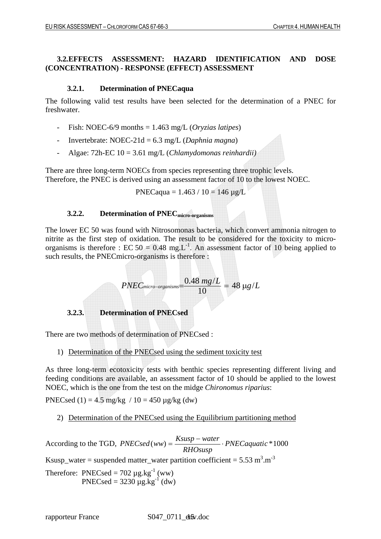## <span id="page-21-1"></span><span id="page-21-0"></span>**3.2.EFFECTS ASSESSMENT: HAZARD IDENTIFICATION AND DOSE (CONCENTRATION) - RESPONSE (EFFECT) ASSESSMENT**

## **3.2.1. Determination of PNECaqua**

The following valid test results have been selected for the determination of a PNEC for freshwater.

- Fish: NOEC-6/9 months = 1.463 mg/L (*Oryzias latipes*)
- Invertebrate: NOEC-21d = 6.3 mg/L (*Daphnia magna*)
- Algae: 72h-EC 10 = 3.61 mg/L (*Chlamydomonas reinhardii)*

There are three long-term NOECs from species representing three trophic levels. Therefore, the PNEC is derived using an assessment factor of 10 to the lowest NOEC.

PNECaqua =  $1.463 / 10 = 146 \mu g/L$ 

## **3.2.2. Determination of PNECmicro-organisms**

<span id="page-21-2"></span>The lower EC 50 was found with Nitrosomonas bacteria, which convert ammonia nitrogen to nitrite as the first step of oxidation. The result to be considered for the toxicity to microorganisms is therefore :  $EC 50 = 0.48$  mg.L<sup>-1</sup>. An assessment factor of 10 being applied to such results, the PNECmicro-organisms is therefore :



<span id="page-21-3"></span>There are two methods of determination of PNECsed :

1) Determination of the PNECsed using the sediment toxicity test

As three long-term ecotoxicity tests with benthic species representing different living and feeding conditions are available, an assessment factor of 10 should be applied to the lowest NOEC, which is the one from the test on the midge *Chironomus riparius*:

PNECsed (1) = 4.5 mg/kg / 10 = 450  $\mu$ g/kg (dw)

2) Determination of the PNECsed using the Equilibrium partitioning method

According to the TGD,  $PNECsed(ww) = \frac{K3u3p - water}{RMS} \cdot PNECaquatic *1000$ *RHOsusp*  $PNECsed(ww) = \frac{Ksusp - water}{RSE}$ .

Ksusp\_water = suspended matter\_water partition coefficient =  $5.53 \text{ m}^3 \cdot \text{m}^{-3}$ 

Therefore: PNECsed =  $702 \mu g \text{ kg}^{-1}$  (ww) PNECsed =  $3230 \text{ µg} \cdot \text{kg}^{-1}$  (dw)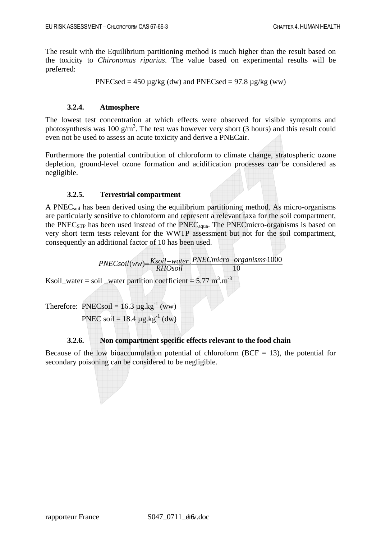The result with the Equilibrium partitioning method is much higher than the result based on the toxicity to *Chironomus riparius*. The value based on experimental results will be preferred:

PNECsed =  $450 \mu g/kg$  (dw) and PNECsed =  $97.8 \mu g/kg$  (ww)

## **3.2.4. Atmosphere**

<span id="page-22-0"></span>The lowest test concentration at which effects were observed for visible symptoms and photosynthesis was 100  $g/m<sup>3</sup>$ . The test was however very short (3 hours) and this result could even not be used to assess an acute toxicity and derive a PNECair.

Furthermore the potential contribution of chloroform to climate change, stratospheric ozone depletion, ground-level ozone formation and acidification processes can be considered as negligible.

## **3.2.5. Terrestrial compartment**

<span id="page-22-1"></span>A PNECsoil has been derived using the equilibrium partitioning method. As micro-organisms are particularly sensitive to chloroform and represent a relevant taxa for the soil compartment, the PNEC<sub>STP</sub> has been used instead of the  $PNEC<sub>aqua</sub>$ . The PNECmicro-organisms is based on very short term tests relevant for the WWTP assessment but not for the soil compartment, consequently an additional factor of 10 has been used.

 $PNECsoil(ww)=\frac{Ksoil-water}{RHSsoil}.$ 

Ksoil\_water = soil \_water partition coefficient =  $5.77 \text{ m}^3 \cdot \text{m}^{-3}$ 

Therefore: PNECsoil =  $16.3 \text{ u}$ g.kg<sup>-1</sup> (ww) PNEC soil =  $18.4 \mu$ g.kg<sup>-1</sup> (dw)

# **3.2.6. Non compartment specific effects relevant to the food chain**

<span id="page-22-2"></span>Because of the low bioaccumulation potential of chloroform (BCF  $= 13$ ), the potential for secondary poisoning can be considered to be negligible.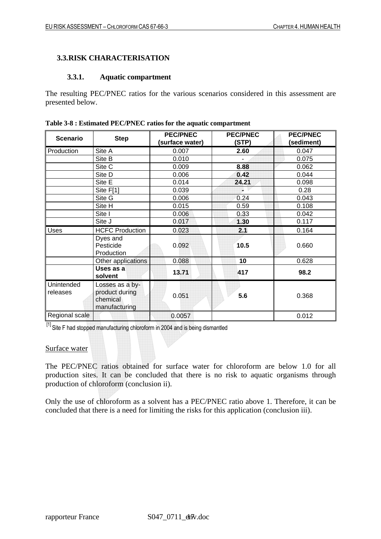# <span id="page-23-0"></span>**3.3.RISK CHARACTERISATION**

## **3.3.1. Aquatic compartment**

<span id="page-23-1"></span>The resulting PEC/PNEC ratios for the various scenarios considered in this assessment are presented below.

| <b>Scenario</b>        | <b>Step</b>                                                    | <b>PEC/PNEC</b><br>(surface water) | <b>PEC/PNEC</b><br>(STP) | <b>PEC/PNEC</b><br>(sediment) |
|------------------------|----------------------------------------------------------------|------------------------------------|--------------------------|-------------------------------|
| Production             | Site A                                                         | 0.007                              | 2.60                     | 0.047                         |
|                        | Site B                                                         | 0.010                              |                          | 0.075                         |
|                        | Site C                                                         | 0.009                              | 8.88                     | 0.062                         |
|                        | Site D                                                         | 0.006                              | 0.42                     | 0.044                         |
|                        | Site E                                                         | 0.014                              | 24.21                    | 0.098                         |
|                        | Site F[1]                                                      | 0.039                              | $\Box$                   | 0.28                          |
|                        | Site G                                                         | 0.006                              | 0.24                     | 0.043                         |
|                        | Site H                                                         | 0.015                              | 0.59                     | 0.108                         |
|                        | Site I                                                         | 0.006                              | 0.33                     | 0.042                         |
|                        | Site J                                                         | 0.017                              | 1.30                     | 0.117                         |
| <b>Uses</b>            | <b>HCFC Production</b>                                         | 0.023                              | 2.1                      | 0.164                         |
|                        | Dyes and<br>Pesticide<br>Production                            | 0.092                              | 10.5                     | 0.660                         |
|                        | Other applications                                             | 0.088                              | 10                       | 0.628                         |
|                        | Uses as a<br>solvent                                           | 13.71                              | 417                      | 98.2                          |
| Unintended<br>releases | Losses as a by-<br>product during<br>chemical<br>manufacturing | 0.051                              | 5.6                      | 0.368                         |
| Regional scale         |                                                                | 0.0057                             |                          | 0.012                         |

<span id="page-23-2"></span>**Table 3-8 : Estimated PEC/PNEC ratios for the aquatic compartment** 

[1] Site F had stopped manufacturing chloroform in 2004 and is being dismantled

## Surface water

The PEC/PNEC ratios obtained for surface water for chloroform are below 1.0 for all production sites. It can be concluded that there is no risk to aquatic organisms through production of chloroform (conclusion ii).

Only the use of chloroform as a solvent has a PEC/PNEC ratio above 1. Therefore, it can be concluded that there is a need for limiting the risks for this application (conclusion iii).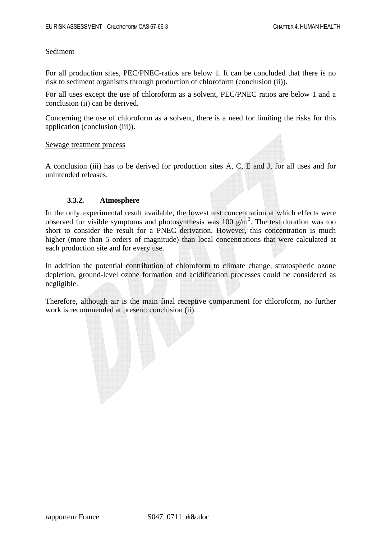## Sediment

For all production sites, PEC/PNEC-ratios are below 1. It can be concluded that there is no risk to sediment organisms through production of chloroform (conclusion (ii)).

For all uses except the use of chloroform as a solvent, PEC/PNEC ratios are below 1 and a conclusion (ii) can be derived.

Concerning the use of chloroform as a solvent, there is a need for limiting the risks for this application (conclusion (iii)).

#### Sewage treatment process

A conclusion (iii) has to be derived for production sites A, C, E and J, for all uses and for unintended releases.

## **3.3.2. Atmosphere**

<span id="page-24-0"></span>In the only experimental result available, the lowest test concentration at which effects were observed for visible symptoms and photosynthesis was  $100 \text{ g/m}^3$ . The test duration was too short to consider the result for a PNEC derivation. However, this concentration is much higher (more than 5 orders of magnitude) than local concentrations that were calculated at each production site and for every use.

In addition the potential contribution of chloroform to climate change, stratospheric ozone depletion, ground-level ozone formation and acidification processes could be considered as negligible.

Therefore, although air is the main final receptive compartment for chloroform, no further work is recommended at present: conclusion (ii).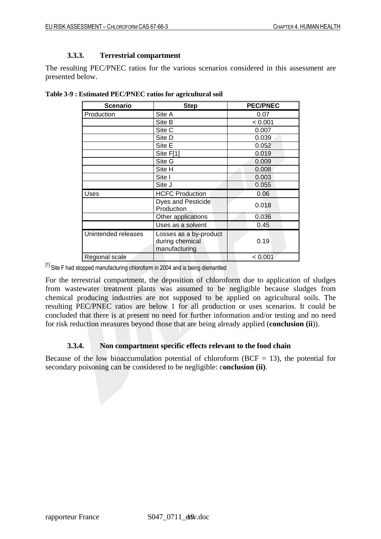## **3.3.3. Terrestrial compartment**

The resulting PEC/PNEC ratios for the various scenarios considered in this assessment are presented below.

| <b>Scenario</b>     | <b>Step</b>                                                | <b>PEC/PNEC</b> |
|---------------------|------------------------------------------------------------|-----------------|
| Production          | Site A                                                     | 0.07            |
|                     | Site B                                                     | < 0.001         |
|                     | Site C                                                     | 0.007           |
|                     | Site D                                                     | 0.039           |
|                     | Site E                                                     | 0.052           |
|                     | Site F[1]                                                  | 0.019           |
|                     | Site G                                                     | 0.009           |
|                     | Site H                                                     | 0.008           |
|                     | Site I                                                     | 0.003           |
|                     | Site J                                                     | 0.055           |
| Uses                | <b>HCFC Production</b>                                     | 0.06            |
|                     | <b>Dyes and Pesticide</b><br>Production                    | 0.018           |
|                     | Other applications                                         | 0.036           |
|                     | Uses as a solvent                                          | 0.45            |
| Unintended releases | Losses as a by-product<br>during chemical<br>manufacturing | 0.19            |
| Regional scale      |                                                            | < 0.001         |

<span id="page-25-2"></span>**Table 3-9 : Estimated PEC/PNEC ratios for agricultural soil** 

[1] Site F had stopped manufacturing chloroform in 2004 and is being dismantled

For the terrestrial compartment, the deposition of chloroform due to application of sludges from wastewater treatment plants was assumed to be negligible because sludges from chemical producing industries are not supposed to be applied on agricultural soils. The resulting PEC/PNEC ratios are below 1 for all production or uses scenarios. It could be concluded that there is at present no need for further information and/or testing and no need for risk reduction measures beyond those that are being already applied (**conclusion (ii**)).

# **3.3.4. Non compartment specific effects relevant to the food chain**

<span id="page-25-1"></span><span id="page-25-0"></span>Because of the low bioaccumulation potential of chloroform ( $BCF = 13$ ), the potential for secondary poisoning can be considered to be negligible: c**onclusion (ii)**.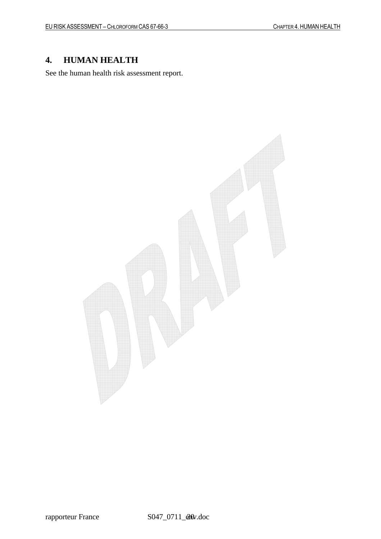# <span id="page-26-0"></span>**4. HUMAN HEALTH**

See the human health risk assessment report.

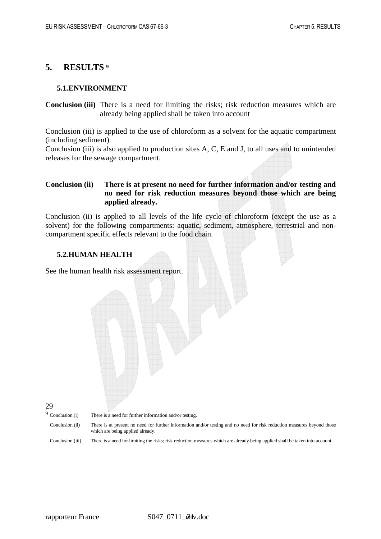# <span id="page-27-1"></span><span id="page-27-0"></span>**5. RESULTS 9**

### **5.1.ENVIRONMENT**

**Conclusion (iii)** There is a need for limiting the risks; risk reduction measures which are already being applied shall be taken into account

Conclusion (iii) is applied to the use of chloroform as a solvent for the aquatic compartment (including sediment).

Conclusion (iii) is also applied to production sites A, C, E and J, to all uses and to unintended releases for the sewage compartment.

## **Conclusion (ii) There is at present no need for further information and/or testing and no need for risk reduction measures beyond those which are being applied already.**

Conclusion (ii) is applied to all levels of the life cycle of chloroform (except the use as a solvent) for the following compartments: aquatic, sediment, atmosphere, terrestrial and noncompartment specific effects relevant to the food chain.

## **5.2.HUMAN HEALTH**

<span id="page-27-2"></span>See the human health risk assessment report.

29

 $9$  Conclusion (i) There is a need for further information and/or testing.

Conclusion (ii) There is at present no need for further information and/or testing and no need for risk reduction measures beyond those which are being applied already.

Conclusion (iii) There is a need for limiting the risks; risk reduction measures which are already being applied shall be taken into account.